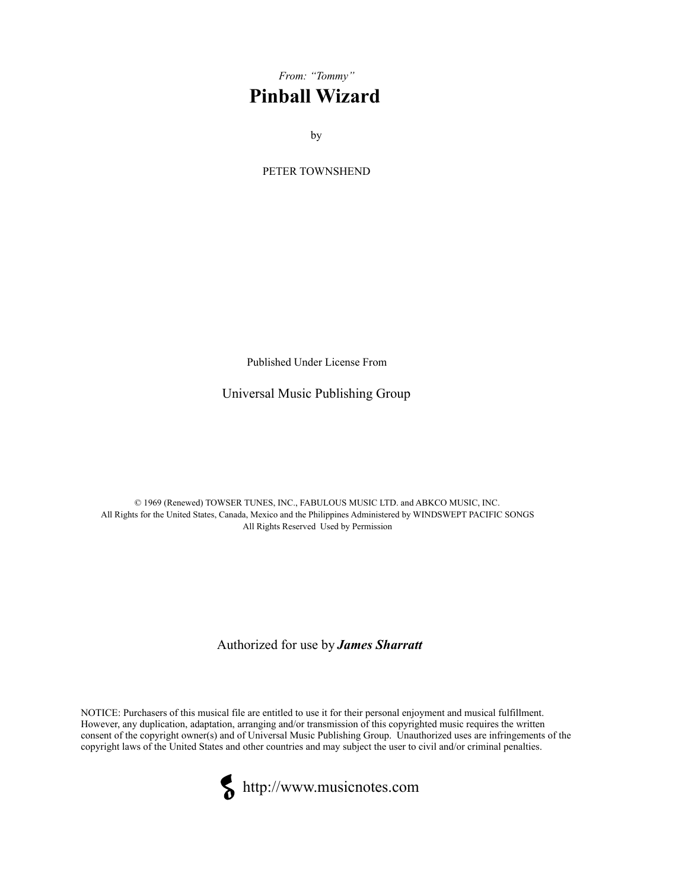## *From: "Tommy"*  **Pinball Wizard**

by

PETER TOWNSHEND

Published Under License From

Universal Music Publishing Group

© 1969 (Renewed) TOWSER TUNES, INC., FABULOUS MUSIC LTD. and ABKCO MUSIC, INC. All Rights for the United States, Canada, Mexico and the Philippines Administered by WINDSWEPT PACIFIC SONGS All Rights Reserved Used by Permission

Authorized for use by *James Sharratt* 

NOTICE: Purchasers of this musical file are entitled to use it for their personal enjoyment and musical fulfillment. However, any duplication, adaptation, arranging and/or transmission of this copyrighted music requires the written consent of the copyright owner(s) and of Universal Music Publishing Group. Unauthorized uses are infringements of the copyright laws of the United States and other countries and may subject the user to civil and/or criminal penalties.



http://www.musicnotes.com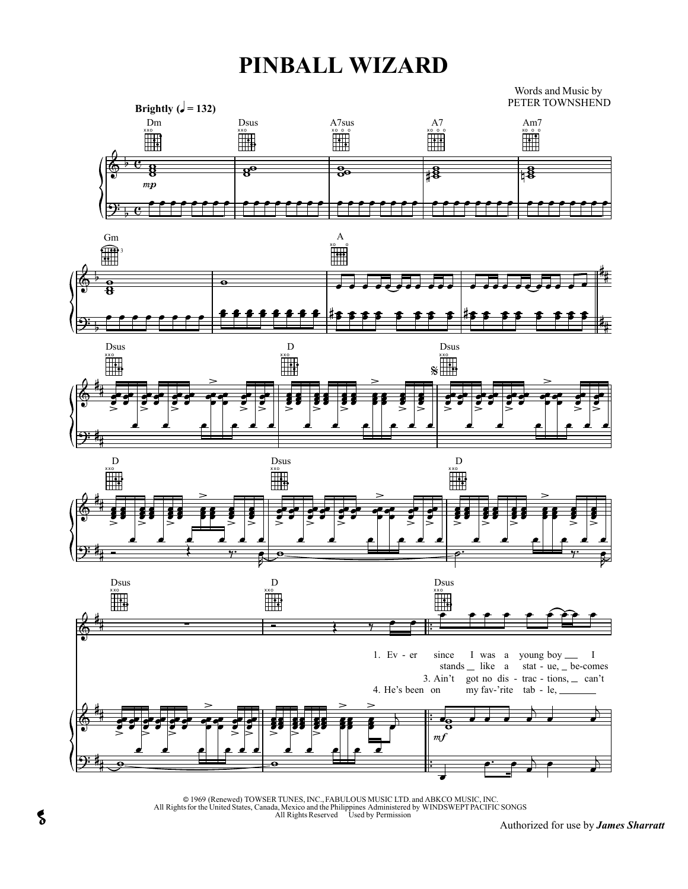## **PINBALL WIZARD**

Words and Music by PETER TOWNSHEND



© 1969 (Renewed) TOWSER TUNES, INC., FABULOUS MUSIC LTD. and ABKCO MUSIC, INC.<br>All Rights for the United States, Canada, Mexico and the Philippines Administered by WINDSWEPTPACIFIC SONGS<br>All Rights Reserved Used by Permiss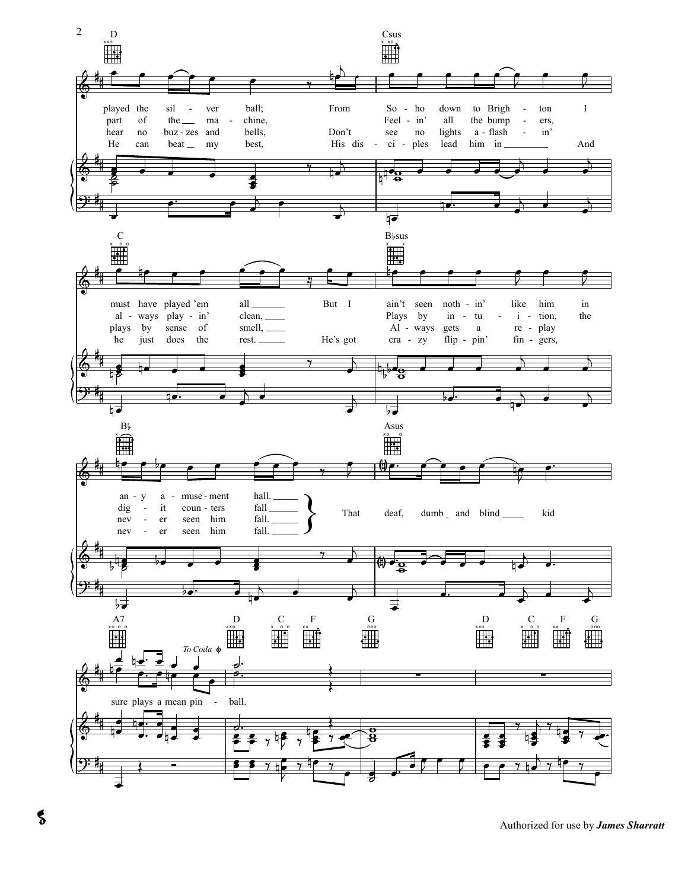